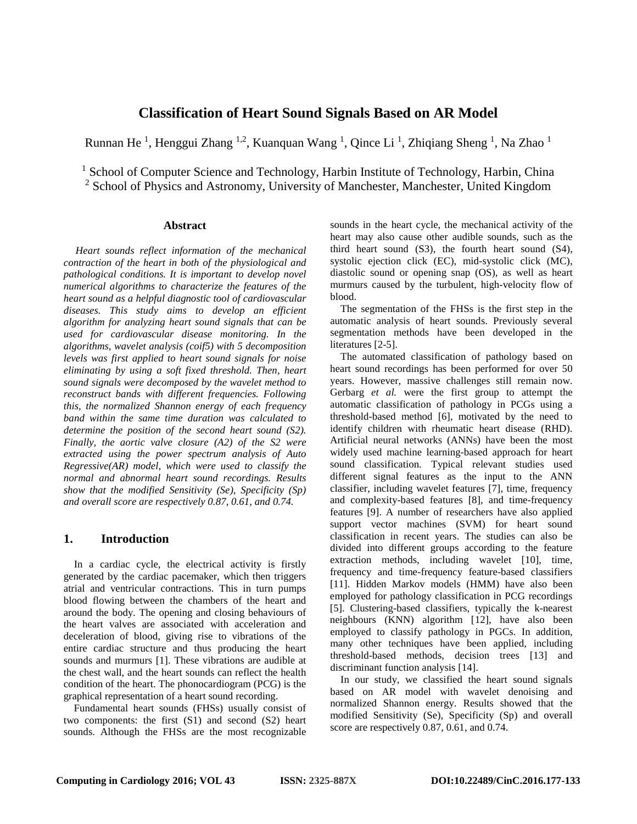# **Classification of Heart Sound Signals Based on AR Model**

Runnan He<sup>1</sup>, Henggui Zhang <sup>1,2</sup>, Kuanquan Wang <sup>1</sup>, Qince Li<sup>1</sup>, Zhiqiang Sheng <sup>1</sup>, Na Zhao <sup>1</sup>

<sup>1</sup> School of Computer Science and Technology, Harbin Institute of Technology, Harbin, China

<sup>2</sup> School of Physics and Astronomy, University of Manchester, Manchester, United Kingdom

## **Abstract**

*Heart sounds reflect information of the mechanical contraction of the heart in both of the physiological and pathological conditions. It is important to develop novel numerical algorithms to characterize the features of the heart sound as a helpful diagnostic tool of cardiovascular diseases. This study aims to develop an efficient algorithm for analyzing heart sound signals that can be used for cardiovascular disease monitoring. In the algorithms, wavelet analysis (coif5) with 5 decomposition levels was first applied to heart sound signals for noise eliminating by using a soft fixed threshold. Then, heart sound signals were decomposed by the wavelet method to reconstruct bands with different frequencies. Following this, the normalized Shannon energy of each frequency band within the same time duration was calculated to determine the position of the second heart sound (S2). Finally, the aortic valve closure (A2) of the S2 were extracted using the power spectrum analysis of Auto Regressive(AR) model, which were used to classify the normal and abnormal heart sound recordings. Results show that the modified Sensitivity (Se), Specificity (Sp) and overall score are respectively 0.87, 0.61, and 0.74.*

## **1. Introduction**

In a cardiac cycle, the electrical activity is firstly generated by the cardiac pacemaker, which then triggers atrial and ventricular contractions. This in turn pumps blood flowing between the chambers of the heart and around the body. The opening and closing behaviours of the heart valves are associated with acceleration and deceleration of blood, giving rise to vibrations of the entire cardiac structure and thus producing the heart sounds and murmurs [\[1\]](#page-3-0). These vibrations are audible at the chest wall, and the heart sounds can reflect the health condition of the heart. The phonocardiogram (PCG) is the graphical representation of a heart sound recording.

Fundamental heart sounds (FHSs) usually consist of two components: the first (S1) and second (S2) heart sounds. Although the FHSs are the most recognizable sounds in the heart cycle, the mechanical activity of the heart may also cause other audible sounds, such as the third heart sound (S3), the fourth heart sound (S4), systolic ejection click (EC), mid-systolic click (MC), diastolic sound or opening snap (OS), as well as heart murmurs caused by the turbulent, high-velocity flow of blood.

The segmentation of the FHSs is the first step in the automatic analysis of heart sounds. Previously several segmentation methods have been developed in the literatures [\[2-5\]](#page-3-1).

The automated classification of pathology based on heart sound recordings has been performed for over 50 years. However, massive challenges still remain now. Gerbarg *et al.* were the first group to attempt the automatic classification of pathology in PCGs using a threshold-based method [\[6\]](#page-3-2), motivated by the need to identify children with rheumatic heart disease (RHD). Artificial neural networks (ANNs) have been the most widely used machine learning-based approach for heart sound classification. Typical relevant studies used different signal features as the input to the ANN classifier, including wavelet features [\[7\]](#page-3-3), time, frequency and complexity-based features [\[8\]](#page-3-4), and time-frequency features [\[9\]](#page-3-5). A number of researchers have also applied support vector machines (SVM) for heart sound classification in recent years. The studies can also be divided into different groups according to the feature extraction methods, including wavelet [\[10\]](#page-3-6), time, frequency and time-frequency feature-based classifiers [\[11\]](#page-3-7). Hidden Markov models (HMM) have also been employed for pathology classification in PCG recordings [\[5\]](#page-3-8). Clustering-based classifiers, typically the k-nearest neighbours (KNN) algorithm [\[12\]](#page-3-9), have also been employed to classify pathology in PGCs. In addition, many other techniques have been applied, including threshold-based methods, decision trees [\[13\]](#page-3-10) and discriminant function analysis [\[14\]](#page-3-11).

In our study, we classified the heart sound signals based on AR model with wavelet denoising and normalized Shannon energy. Results showed that the modified Sensitivity (Se), Specificity (Sp) and overall score are respectively 0.87, 0.61, and 0.74.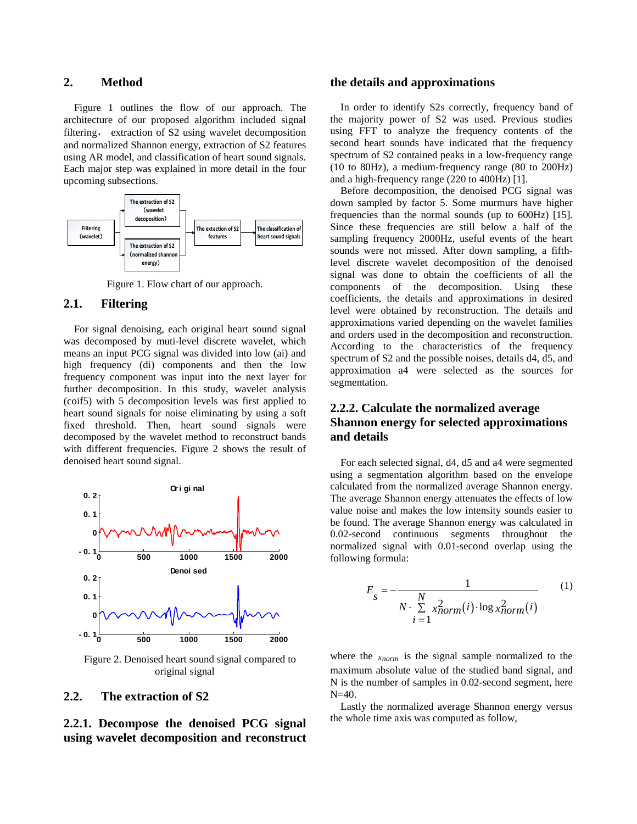## **2. Method**

Figure 1 outlines the flow of our approach. The architecture of our proposed algorithm included signal filtering, extraction of S2 using wavelet decomposition and normalized Shannon energy, extraction of S2 features using AR model, and classification of heart sound signals. Each major step was explained in more detail in the four upcoming subsections.



Figure 1. Flow chart of our approach.

## **2.1. Filtering**

For signal denoising, each original heart sound signal was decomposed by muti-level discrete wavelet, which means an input PCG signal was divided into low (ai) and high frequency (di) components and then the low frequency component was input into the next layer for further decomposition. In this study, wavelet analysis (coif5) with 5 decomposition levels was first applied to heart sound signals for noise eliminating by using a soft fixed threshold. Then, heart sound signals were decomposed by the wavelet method to reconstruct bands with different frequencies. Figure 2 shows the result of denoised heart sound signal.



Figure 2. Denoised heart sound signal compared to original signal

## **2.2. The extraction of S2**

**2.2.1. Decompose the denoised PCG signal using wavelet decomposition and reconstruct** 

#### **the details and approximations**

In order to identify S2s correctly, frequency band of the majority power of S2 was used. Previous studies using FFT to analyze the frequency contents of the second heart sounds have indicated that the frequency spectrum of S2 contained peaks in a low-frequency range (10 to 80Hz), a medium-frequency range (80 to 200Hz) and a high-frequency range (220 to 400Hz) [\[1\]](#page-3-0).

Before decomposition, the denoised PCG signal was down sampled by factor 5. Some murmurs have higher frequencies than the normal sounds (up to 600Hz) [\[15\]](#page-3-12). Since these frequencies are still below a half of the sampling frequency 2000Hz, useful events of the heart sounds were not missed. After down sampling, a fifthlevel discrete wavelet decomposition of the denoised signal was done to obtain the coefficients of all the components of the decomposition. Using these coefficients, the details and approximations in desired level were obtained by reconstruction. The details and approximations varied depending on the wavelet families and orders used in the decomposition and reconstruction. According to the characteristics of the frequency spectrum of S2 and the possible noises, details d4, d5, and approximation a4 were selected as the sources for segmentation.

## **2.2.2. Calculate the normalized average Shannon energy for selected approximations and details**

For each selected signal, d4, d5 and a4 were segmented using a segmentation algorithm based on the envelope calculated from the normalized average Shannon energy. The average Shannon energy attenuates the effects of low value noise and makes the low intensity sounds easier to be found. The average Shannon energy was calculated in 0.02-second continuous segments throughout the normalized signal with 0.01-second overlap using the following formula:

$$
E_{s} = -\frac{1}{N \cdot \sum\limits_{i=1}^{N} x_{norm}^{2}(i) \cdot \log x_{norm}^{2}(i)}
$$
(1)

where the *xnorm* is the signal sample normalized to the maximum absolute value of the studied band signal, and N is the number of samples in 0.02-second segment, here  $N=40$ .

Lastly the normalized average Shannon energy versus the whole time axis was computed as follow,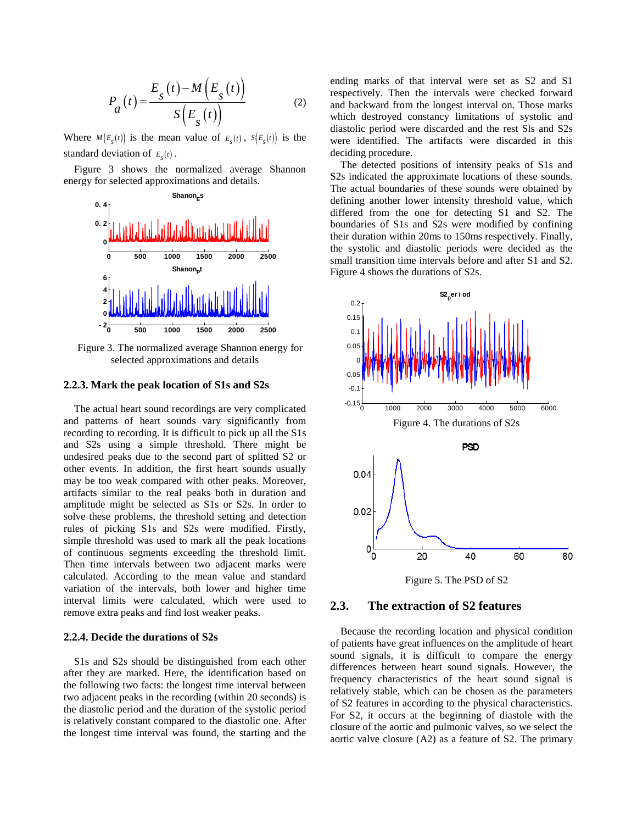$$
P_a(t) = \frac{E_s(t) - M(E_s(t))}{S(E_s(t))}
$$
 (2)

Where  $M(E_{s}(t))$  is the mean value of  $E_{s}(t)$ ,  $S(E_{s}(t))$  is the standard deviation of  $E<sub>s</sub>(t)$ .

Figure 3 shows the normalized average Shannon energy for selected approximations and details.



Figure 3. The normalized average Shannon energy for selected approximations and details

#### **2.2.3. Mark the peak location of S1s and S2s**

The actual heart sound recordings are very complicated and patterns of heart sounds vary significantly from recording to recording. It is difficult to pick up all the S1s and S2s using a simple threshold. There might be undesired peaks due to the second part of splitted S2 or other events. In addition, the first heart sounds usually may be too weak compared with other peaks. Moreover, artifacts similar to the real peaks both in duration and amplitude might be selected as S1s or S2s. In order to solve these problems, the threshold setting and detection rules of picking S1s and S2s were modified. Firstly, simple threshold was used to mark all the peak locations of continuous segments exceeding the threshold limit. Then time intervals between two adjacent marks were calculated. According to the mean value and standard variation of the intervals, both lower and higher time interval limits were calculated, which were used to remove extra peaks and find lost weaker peaks.

#### **2.2.4. Decide the durations of S2s**

S1s and S2s should be distinguished from each other after they are marked. Here, the identification based on the following two facts: the longest time interval between two adjacent peaks in the recording (within 20 seconds) is the diastolic period and the duration of the systolic period is relatively constant compared to the diastolic one. After the longest time interval was found, the starting and the

ending marks of that interval were set as S2 and S1 respectively. Then the intervals were checked forward and backward from the longest interval on. Those marks which destroyed constancy limitations of systolic and diastolic period were discarded and the rest Sls and S2s were identified. The artifacts were discarded in this deciding procedure.

The detected positions of intensity peaks of S1s and S2s indicated the approximate locations of these sounds. The actual boundaries of these sounds were obtained by defining another lower intensity threshold value, which differed from the one for detecting S1 and S2. The boundaries of S1s and S2s were modified by confining their duration within 20ms to 150ms respectively. Finally, the systolic and diastolic periods were decided as the small transition time intervals before and after S1 and S2. Figure 4 shows the durations of S2s.



# **2.3. The extraction of S2 features**

Because the recording location and physical condition of patients have great influences on the amplitude of heart sound signals, it is difficult to compare the energy differences between heart sound signals. However, the frequency characteristics of the heart sound signal is relatively stable, which can be chosen as the parameters of S2 features in according to the physical characteristics. For S2, it occurs at the beginning of diastole with the closure of the aortic and pulmonic valves, so we select the aortic valve closure (A2) as a feature of S2. The primary